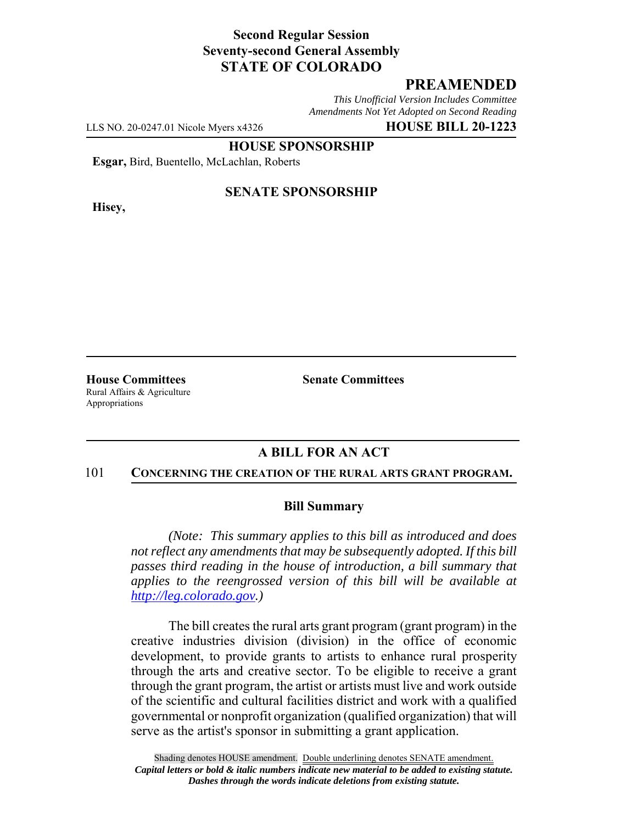# **Second Regular Session Seventy-second General Assembly STATE OF COLORADO**

# **PREAMENDED**

*This Unofficial Version Includes Committee Amendments Not Yet Adopted on Second Reading*

LLS NO. 20-0247.01 Nicole Myers x4326 **HOUSE BILL 20-1223**

**HOUSE SPONSORSHIP**

**Esgar,** Bird, Buentello, McLachlan, Roberts

**Hisey,**

## **SENATE SPONSORSHIP**

**House Committees Senate Committees** Rural Affairs & Agriculture Appropriations

## **A BILL FOR AN ACT**

#### 101 **CONCERNING THE CREATION OF THE RURAL ARTS GRANT PROGRAM.**

### **Bill Summary**

*(Note: This summary applies to this bill as introduced and does not reflect any amendments that may be subsequently adopted. If this bill passes third reading in the house of introduction, a bill summary that applies to the reengrossed version of this bill will be available at http://leg.colorado.gov.)*

The bill creates the rural arts grant program (grant program) in the creative industries division (division) in the office of economic development, to provide grants to artists to enhance rural prosperity through the arts and creative sector. To be eligible to receive a grant through the grant program, the artist or artists must live and work outside of the scientific and cultural facilities district and work with a qualified governmental or nonprofit organization (qualified organization) that will serve as the artist's sponsor in submitting a grant application.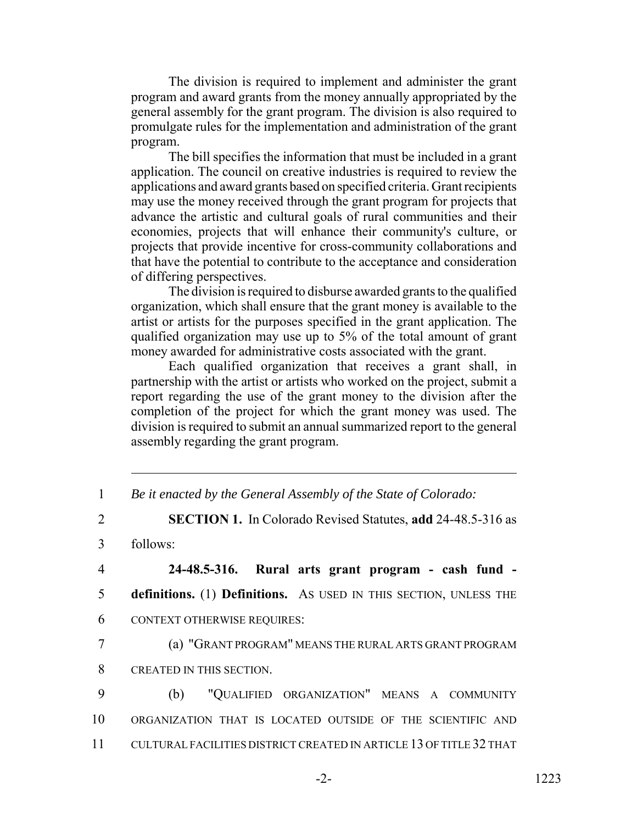The division is required to implement and administer the grant program and award grants from the money annually appropriated by the general assembly for the grant program. The division is also required to promulgate rules for the implementation and administration of the grant program.

The bill specifies the information that must be included in a grant application. The council on creative industries is required to review the applications and award grants based on specified criteria. Grant recipients may use the money received through the grant program for projects that advance the artistic and cultural goals of rural communities and their economies, projects that will enhance their community's culture, or projects that provide incentive for cross-community collaborations and that have the potential to contribute to the acceptance and consideration of differing perspectives.

The division is required to disburse awarded grants to the qualified organization, which shall ensure that the grant money is available to the artist or artists for the purposes specified in the grant application. The qualified organization may use up to 5% of the total amount of grant money awarded for administrative costs associated with the grant.

Each qualified organization that receives a grant shall, in partnership with the artist or artists who worked on the project, submit a report regarding the use of the grant money to the division after the completion of the project for which the grant money was used. The division is required to submit an annual summarized report to the general assembly regarding the grant program.

1 *Be it enacted by the General Assembly of the State of Colorado:*

2 **SECTION 1.** In Colorado Revised Statutes, **add** 24-48.5-316 as

3 follows:

4 **24-48.5-316. Rural arts grant program - cash fund -** 5 **definitions.** (1) **Definitions.** AS USED IN THIS SECTION, UNLESS THE 6 CONTEXT OTHERWISE REQUIRES:

7 (a) "GRANT PROGRAM" MEANS THE RURAL ARTS GRANT PROGRAM 8 CREATED IN THIS SECTION.

9 (b) "QUALIFIED ORGANIZATION" MEANS A COMMUNITY 10 ORGANIZATION THAT IS LOCATED OUTSIDE OF THE SCIENTIFIC AND 11 CULTURAL FACILITIES DISTRICT CREATED IN ARTICLE 13 OF TITLE 32 THAT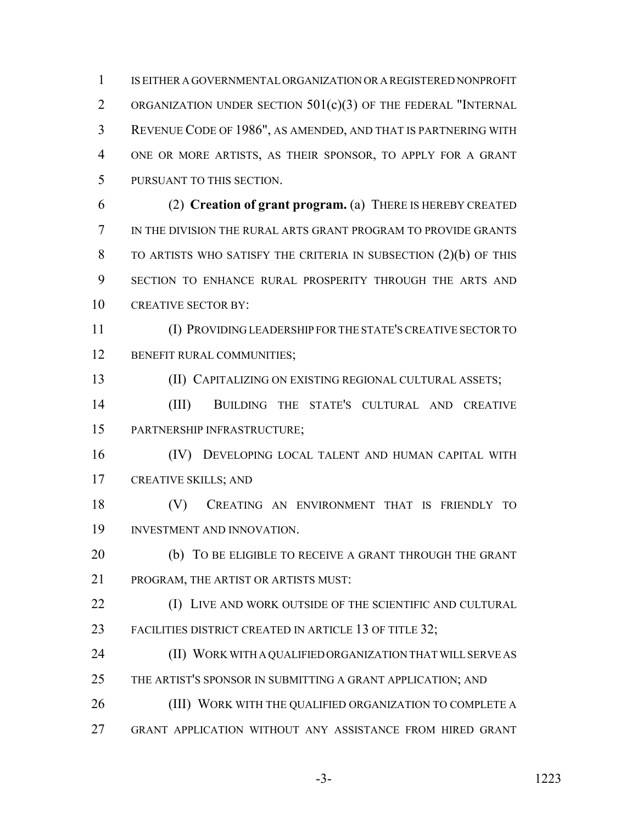IS EITHER A GOVERNMENTAL ORGANIZATION OR A REGISTERED NONPROFIT ORGANIZATION UNDER SECTION 501(c)(3) OF THE FEDERAL "INTERNAL REVENUE CODE OF 1986", AS AMENDED, AND THAT IS PARTNERING WITH ONE OR MORE ARTISTS, AS THEIR SPONSOR, TO APPLY FOR A GRANT PURSUANT TO THIS SECTION.

 (2) **Creation of grant program.** (a) THERE IS HEREBY CREATED IN THE DIVISION THE RURAL ARTS GRANT PROGRAM TO PROVIDE GRANTS TO ARTISTS WHO SATISFY THE CRITERIA IN SUBSECTION (2)(b) OF THIS SECTION TO ENHANCE RURAL PROSPERITY THROUGH THE ARTS AND 10 CREATIVE SECTOR BY:

 (I) PROVIDING LEADERSHIP FOR THE STATE'S CREATIVE SECTOR TO 12 BENEFIT RURAL COMMUNITIES;

(II) CAPITALIZING ON EXISTING REGIONAL CULTURAL ASSETS;

 (III) BUILDING THE STATE'S CULTURAL AND CREATIVE PARTNERSHIP INFRASTRUCTURE;

 (IV) DEVELOPING LOCAL TALENT AND HUMAN CAPITAL WITH CREATIVE SKILLS; AND

 (V) CREATING AN ENVIRONMENT THAT IS FRIENDLY TO INVESTMENT AND INNOVATION.

20 (b) TO BE ELIGIBLE TO RECEIVE A GRANT THROUGH THE GRANT PROGRAM, THE ARTIST OR ARTISTS MUST:

**(I) LIVE AND WORK OUTSIDE OF THE SCIENTIFIC AND CULTURAL** 23 FACILITIES DISTRICT CREATED IN ARTICLE 13 OF TITLE 32;

 (II) WORK WITH A QUALIFIED ORGANIZATION THAT WILL SERVE AS THE ARTIST'S SPONSOR IN SUBMITTING A GRANT APPLICATION; AND

(III) WORK WITH THE QUALIFIED ORGANIZATION TO COMPLETE A

GRANT APPLICATION WITHOUT ANY ASSISTANCE FROM HIRED GRANT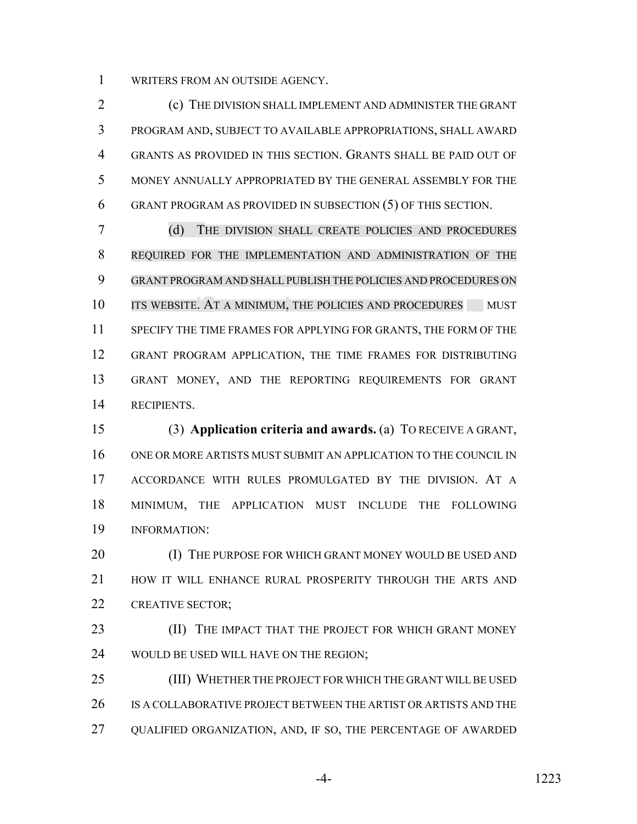WRITERS FROM AN OUTSIDE AGENCY.

 (c) THE DIVISION SHALL IMPLEMENT AND ADMINISTER THE GRANT PROGRAM AND, SUBJECT TO AVAILABLE APPROPRIATIONS, SHALL AWARD GRANTS AS PROVIDED IN THIS SECTION. GRANTS SHALL BE PAID OUT OF MONEY ANNUALLY APPROPRIATED BY THE GENERAL ASSEMBLY FOR THE GRANT PROGRAM AS PROVIDED IN SUBSECTION (5) OF THIS SECTION.

 (d) THE DIVISION SHALL CREATE POLICIES AND PROCEDURES REQUIRED FOR THE IMPLEMENTATION AND ADMINISTRATION OF THE GRANT PROGRAM AND SHALL PUBLISH THE POLICIES AND PROCEDURES ON 10 ITS WEBSITE. AT A MINIMUM, THE POLICIES AND PROCEDURES MUST SPECIFY THE TIME FRAMES FOR APPLYING FOR GRANTS, THE FORM OF THE GRANT PROGRAM APPLICATION, THE TIME FRAMES FOR DISTRIBUTING GRANT MONEY, AND THE REPORTING REQUIREMENTS FOR GRANT RECIPIENTS.

 (3) **Application criteria and awards.** (a) TO RECEIVE A GRANT, ONE OR MORE ARTISTS MUST SUBMIT AN APPLICATION TO THE COUNCIL IN ACCORDANCE WITH RULES PROMULGATED BY THE DIVISION. AT A MINIMUM, THE APPLICATION MUST INCLUDE THE FOLLOWING INFORMATION:

20 (I) THE PURPOSE FOR WHICH GRANT MONEY WOULD BE USED AND HOW IT WILL ENHANCE RURAL PROSPERITY THROUGH THE ARTS AND CREATIVE SECTOR;

**(II)** THE IMPACT THAT THE PROJECT FOR WHICH GRANT MONEY WOULD BE USED WILL HAVE ON THE REGION;

 (III) WHETHER THE PROJECT FOR WHICH THE GRANT WILL BE USED IS A COLLABORATIVE PROJECT BETWEEN THE ARTIST OR ARTISTS AND THE QUALIFIED ORGANIZATION, AND, IF SO, THE PERCENTAGE OF AWARDED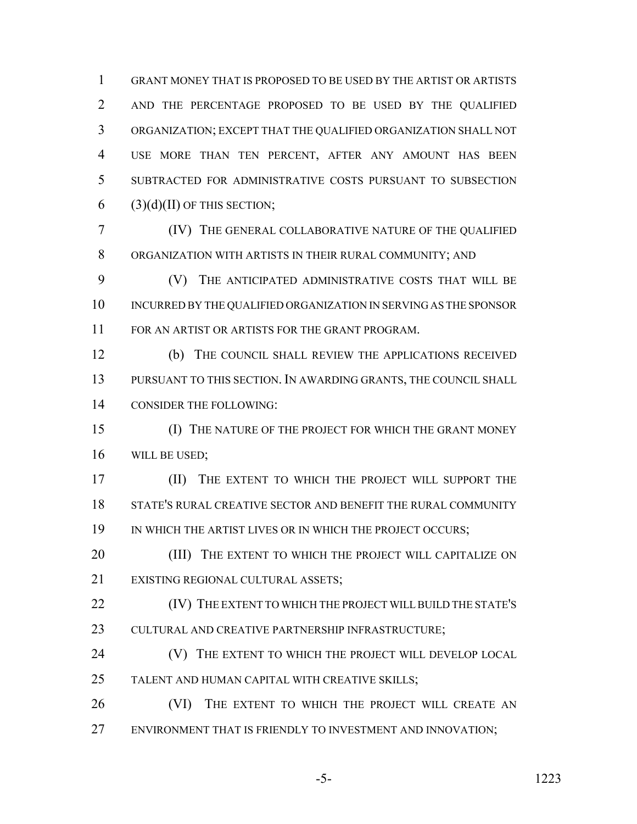GRANT MONEY THAT IS PROPOSED TO BE USED BY THE ARTIST OR ARTISTS AND THE PERCENTAGE PROPOSED TO BE USED BY THE QUALIFIED ORGANIZATION; EXCEPT THAT THE QUALIFIED ORGANIZATION SHALL NOT USE MORE THAN TEN PERCENT, AFTER ANY AMOUNT HAS BEEN SUBTRACTED FOR ADMINISTRATIVE COSTS PURSUANT TO SUBSECTION (3)(d)(II) OF THIS SECTION;

 (IV) THE GENERAL COLLABORATIVE NATURE OF THE QUALIFIED ORGANIZATION WITH ARTISTS IN THEIR RURAL COMMUNITY; AND

 (V) THE ANTICIPATED ADMINISTRATIVE COSTS THAT WILL BE INCURRED BY THE QUALIFIED ORGANIZATION IN SERVING AS THE SPONSOR FOR AN ARTIST OR ARTISTS FOR THE GRANT PROGRAM.

 (b) THE COUNCIL SHALL REVIEW THE APPLICATIONS RECEIVED PURSUANT TO THIS SECTION. IN AWARDING GRANTS, THE COUNCIL SHALL CONSIDER THE FOLLOWING:

 (I) THE NATURE OF THE PROJECT FOR WHICH THE GRANT MONEY WILL BE USED;

 (II) THE EXTENT TO WHICH THE PROJECT WILL SUPPORT THE STATE'S RURAL CREATIVE SECTOR AND BENEFIT THE RURAL COMMUNITY 19 IN WHICH THE ARTIST LIVES OR IN WHICH THE PROJECT OCCURS;

20 (III) THE EXTENT TO WHICH THE PROJECT WILL CAPITALIZE ON EXISTING REGIONAL CULTURAL ASSETS;

**(IV)** THE EXTENT TO WHICH THE PROJECT WILL BUILD THE STATE'S 23 CULTURAL AND CREATIVE PARTNERSHIP INFRASTRUCTURE;

**(V)** THE EXTENT TO WHICH THE PROJECT WILL DEVELOP LOCAL TALENT AND HUMAN CAPITAL WITH CREATIVE SKILLS;

26 (VI) THE EXTENT TO WHICH THE PROJECT WILL CREATE AN 27 ENVIRONMENT THAT IS FRIENDLY TO INVESTMENT AND INNOVATION;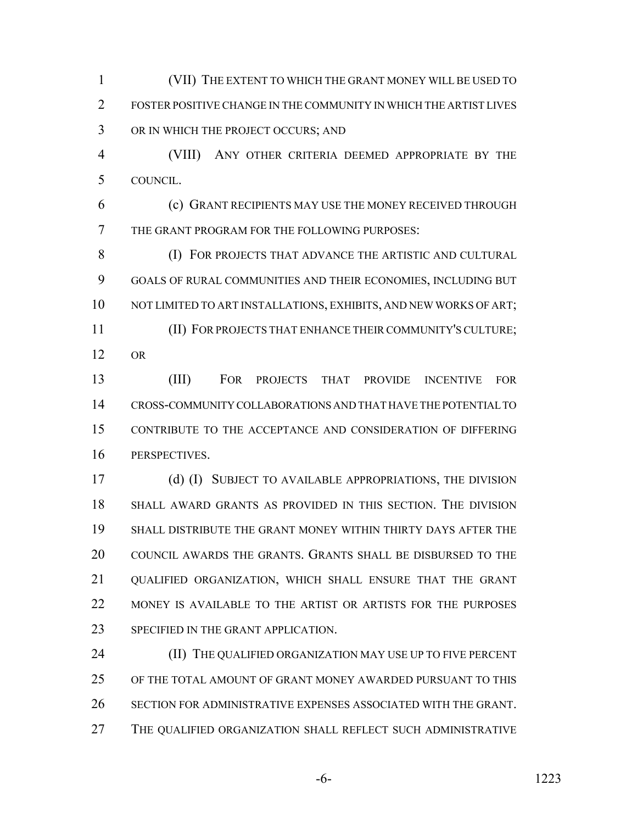(VII) THE EXTENT TO WHICH THE GRANT MONEY WILL BE USED TO FOSTER POSITIVE CHANGE IN THE COMMUNITY IN WHICH THE ARTIST LIVES OR IN WHICH THE PROJECT OCCURS; AND

 (VIII) ANY OTHER CRITERIA DEEMED APPROPRIATE BY THE COUNCIL.

 (c) GRANT RECIPIENTS MAY USE THE MONEY RECEIVED THROUGH THE GRANT PROGRAM FOR THE FOLLOWING PURPOSES:

 (I) FOR PROJECTS THAT ADVANCE THE ARTISTIC AND CULTURAL GOALS OF RURAL COMMUNITIES AND THEIR ECONOMIES, INCLUDING BUT NOT LIMITED TO ART INSTALLATIONS, EXHIBITS, AND NEW WORKS OF ART; (II) FOR PROJECTS THAT ENHANCE THEIR COMMUNITY'S CULTURE; OR

 (III) FOR PROJECTS THAT PROVIDE INCENTIVE FOR CROSS-COMMUNITY COLLABORATIONS AND THAT HAVE THE POTENTIAL TO CONTRIBUTE TO THE ACCEPTANCE AND CONSIDERATION OF DIFFERING PERSPECTIVES.

 (d) (I) SUBJECT TO AVAILABLE APPROPRIATIONS, THE DIVISION SHALL AWARD GRANTS AS PROVIDED IN THIS SECTION. THE DIVISION SHALL DISTRIBUTE THE GRANT MONEY WITHIN THIRTY DAYS AFTER THE COUNCIL AWARDS THE GRANTS. GRANTS SHALL BE DISBURSED TO THE 21 OUALIFIED ORGANIZATION, WHICH SHALL ENSURE THAT THE GRANT 22 MONEY IS AVAILABLE TO THE ARTIST OR ARTISTS FOR THE PURPOSES 23 SPECIFIED IN THE GRANT APPLICATION.

**(II) THE QUALIFIED ORGANIZATION MAY USE UP TO FIVE PERCENT**  OF THE TOTAL AMOUNT OF GRANT MONEY AWARDED PURSUANT TO THIS SECTION FOR ADMINISTRATIVE EXPENSES ASSOCIATED WITH THE GRANT. THE QUALIFIED ORGANIZATION SHALL REFLECT SUCH ADMINISTRATIVE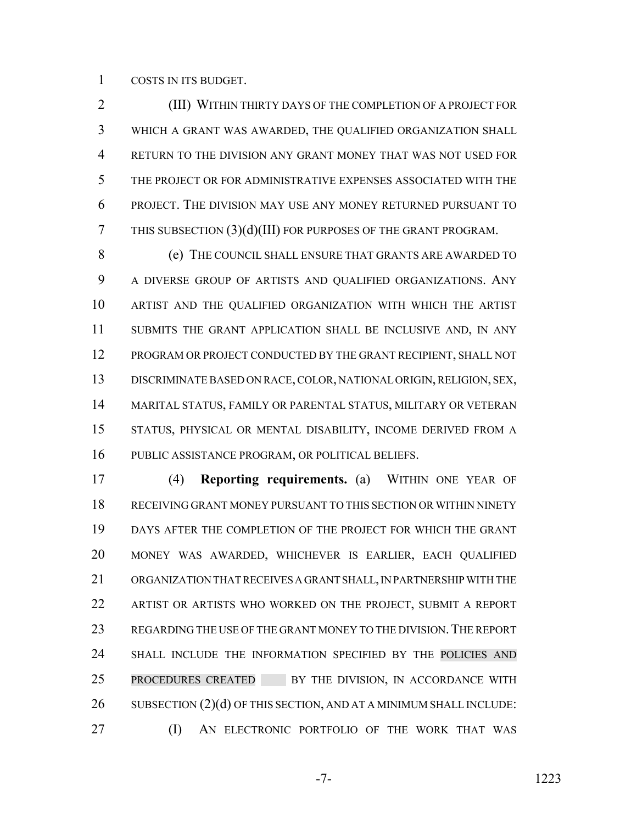COSTS IN ITS BUDGET.

 (III) WITHIN THIRTY DAYS OF THE COMPLETION OF A PROJECT FOR WHICH A GRANT WAS AWARDED, THE QUALIFIED ORGANIZATION SHALL RETURN TO THE DIVISION ANY GRANT MONEY THAT WAS NOT USED FOR THE PROJECT OR FOR ADMINISTRATIVE EXPENSES ASSOCIATED WITH THE PROJECT. THE DIVISION MAY USE ANY MONEY RETURNED PURSUANT TO THIS SUBSECTION (3)(d)(III) FOR PURPOSES OF THE GRANT PROGRAM.

 (e) THE COUNCIL SHALL ENSURE THAT GRANTS ARE AWARDED TO A DIVERSE GROUP OF ARTISTS AND QUALIFIED ORGANIZATIONS. ANY ARTIST AND THE QUALIFIED ORGANIZATION WITH WHICH THE ARTIST SUBMITS THE GRANT APPLICATION SHALL BE INCLUSIVE AND, IN ANY PROGRAM OR PROJECT CONDUCTED BY THE GRANT RECIPIENT, SHALL NOT DISCRIMINATE BASED ON RACE, COLOR, NATIONAL ORIGIN, RELIGION, SEX, MARITAL STATUS, FAMILY OR PARENTAL STATUS, MILITARY OR VETERAN STATUS, PHYSICAL OR MENTAL DISABILITY, INCOME DERIVED FROM A PUBLIC ASSISTANCE PROGRAM, OR POLITICAL BELIEFS.

 (4) **Reporting requirements.** (a) WITHIN ONE YEAR OF RECEIVING GRANT MONEY PURSUANT TO THIS SECTION OR WITHIN NINETY DAYS AFTER THE COMPLETION OF THE PROJECT FOR WHICH THE GRANT MONEY WAS AWARDED, WHICHEVER IS EARLIER, EACH QUALIFIED ORGANIZATION THAT RECEIVES A GRANT SHALL, IN PARTNERSHIP WITH THE ARTIST OR ARTISTS WHO WORKED ON THE PROJECT, SUBMIT A REPORT 23 REGARDING THE USE OF THE GRANT MONEY TO THE DIVISION. THE REPORT SHALL INCLUDE THE INFORMATION SPECIFIED BY THE POLICIES AND 25 PROCEDURES CREATED BY THE DIVISION, IN ACCORDANCE WITH 26 SUBSECTION (2)(d) OF THIS SECTION, AND AT A MINIMUM SHALL INCLUDE: **(I)** AN ELECTRONIC PORTFOLIO OF THE WORK THAT WAS

-7- 1223

$$
-7 -
$$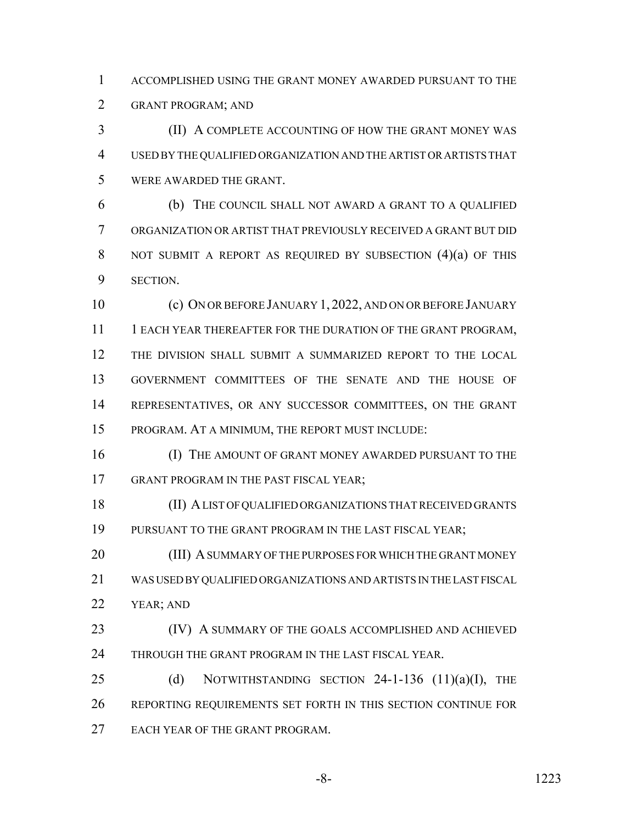ACCOMPLISHED USING THE GRANT MONEY AWARDED PURSUANT TO THE GRANT PROGRAM; AND

 (II) A COMPLETE ACCOUNTING OF HOW THE GRANT MONEY WAS USED BY THE QUALIFIED ORGANIZATION AND THE ARTIST OR ARTISTS THAT WERE AWARDED THE GRANT.

 (b) THE COUNCIL SHALL NOT AWARD A GRANT TO A QUALIFIED ORGANIZATION OR ARTIST THAT PREVIOUSLY RECEIVED A GRANT BUT DID 8 NOT SUBMIT A REPORT AS REQUIRED BY SUBSECTION (4)(a) OF THIS SECTION.

 (c) ON OR BEFORE JANUARY 1, 2022, AND ON OR BEFORE JANUARY 11 1 EACH YEAR THEREAFTER FOR THE DURATION OF THE GRANT PROGRAM, THE DIVISION SHALL SUBMIT A SUMMARIZED REPORT TO THE LOCAL GOVERNMENT COMMITTEES OF THE SENATE AND THE HOUSE OF REPRESENTATIVES, OR ANY SUCCESSOR COMMITTEES, ON THE GRANT PROGRAM. AT A MINIMUM, THE REPORT MUST INCLUDE:

**(I) THE AMOUNT OF GRANT MONEY AWARDED PURSUANT TO THE** 17 GRANT PROGRAM IN THE PAST FISCAL YEAR;

 (II) A LIST OF QUALIFIED ORGANIZATIONS THAT RECEIVED GRANTS PURSUANT TO THE GRANT PROGRAM IN THE LAST FISCAL YEAR;

20 (III) A SUMMARY OF THE PURPOSES FOR WHICH THE GRANT MONEY WAS USED BY QUALIFIED ORGANIZATIONS AND ARTISTS IN THE LAST FISCAL YEAR; AND

**(IV)** A SUMMARY OF THE GOALS ACCOMPLISHED AND ACHIEVED THROUGH THE GRANT PROGRAM IN THE LAST FISCAL YEAR.

25 (d) NOTWITHSTANDING SECTION -1-136  $(11)(a)(I)$ , THE REPORTING REQUIREMENTS SET FORTH IN THIS SECTION CONTINUE FOR EACH YEAR OF THE GRANT PROGRAM.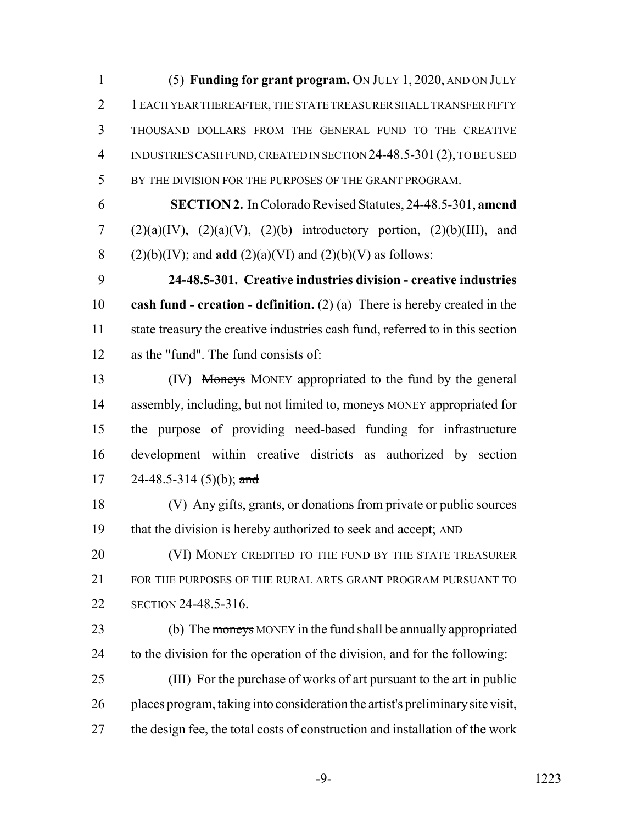(5) **Funding for grant program.** ON JULY 1, 2020, AND ON JULY 1 EACH YEAR THEREAFTER, THE STATE TREASURER SHALL TRANSFER FIFTY THOUSAND DOLLARS FROM THE GENERAL FUND TO THE CREATIVE INDUSTRIES CASH FUND, CREATED IN SECTION 24-48.5-301(2), TO BE USED BY THE DIVISION FOR THE PURPOSES OF THE GRANT PROGRAM.

 **SECTION 2.** In Colorado Revised Statutes, 24-48.5-301, **amend** 7 (2)(a)(IV), (2)(a)(V), (2)(b) introductory portion, (2)(b)(III), and 8 (2)(b)(IV); and **add** (2)(a)(VI) and (2)(b)(V) as follows:

 **24-48.5-301. Creative industries division - creative industries cash fund - creation - definition.** (2) (a) There is hereby created in the state treasury the creative industries cash fund, referred to in this section as the "fund". The fund consists of:

 (IV) Moneys MONEY appropriated to the fund by the general 14 assembly, including, but not limited to, moneys MONEY appropriated for the purpose of providing need-based funding for infrastructure development within creative districts as authorized by section 17 24-48.5-314 (5)(b); and

 (V) Any gifts, grants, or donations from private or public sources that the division is hereby authorized to seek and accept; AND

**(VI) MONEY CREDITED TO THE FUND BY THE STATE TREASURER**  FOR THE PURPOSES OF THE RURAL ARTS GRANT PROGRAM PURSUANT TO SECTION 24-48.5-316.

23 (b) The moneys MONEY in the fund shall be annually appropriated to the division for the operation of the division, and for the following:

 (III) For the purchase of works of art pursuant to the art in public places program, taking into consideration the artist's preliminary site visit, the design fee, the total costs of construction and installation of the work